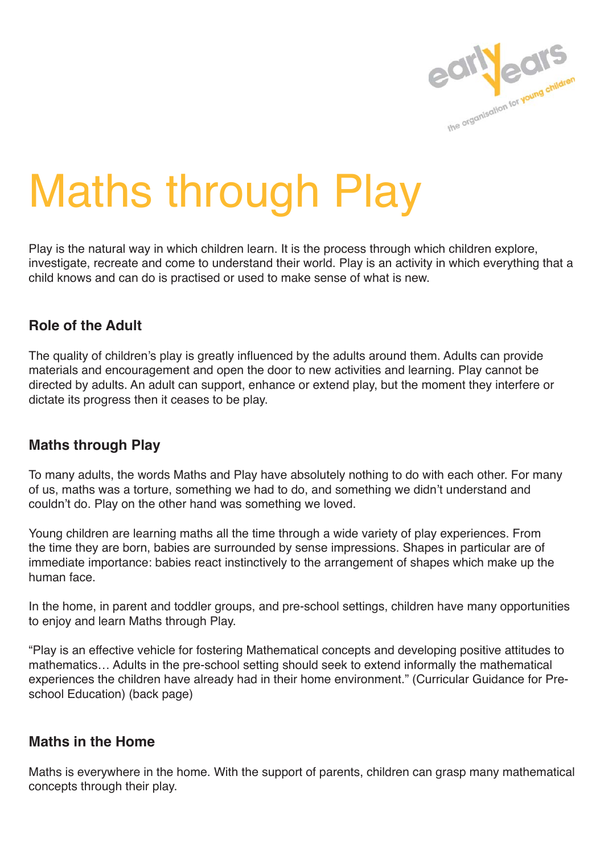

# Maths through Play

Play is the natural way in which children learn. It is the process through which children explore, investigate, recreate and come to understand their world. Play is an activity in which everything that a child knows and can do is practised or used to make sense of what is new.

# **Role of the Adult**

The quality of children's play is greatly influenced by the adults around them. Adults can provide materials and encouragement and open the door to new activities and learning. Play cannot be directed by adults. An adult can support, enhance or extend play, but the moment they interfere or dictate its progress then it ceases to be play.

# **Maths through Play**

To many adults, the words Maths and Play have absolutely nothing to do with each other. For many of us, maths was a torture, something we had to do, and something we didn't understand and couldn't do. Play on the other hand was something we loved.

Young children are learning maths all the time through a wide variety of play experiences. From the time they are born, babies are surrounded by sense impressions. Shapes in particular are of immediate importance: babies react instinctively to the arrangement of shapes which make up the human face.

In the home, in parent and toddler groups, and pre-school settings, children have many opportunities to enjoy and learn Maths through Play.

"Play is an effective vehicle for fostering Mathematical concepts and developing positive attitudes to mathematics… Adults in the pre-school setting should seek to extend informally the mathematical experiences the children have already had in their home environment." (Curricular Guidance for Preschool Education) (back page)

# **Maths in the Home**

Maths is everywhere in the home. With the support of parents, children can grasp many mathematical concepts through their play.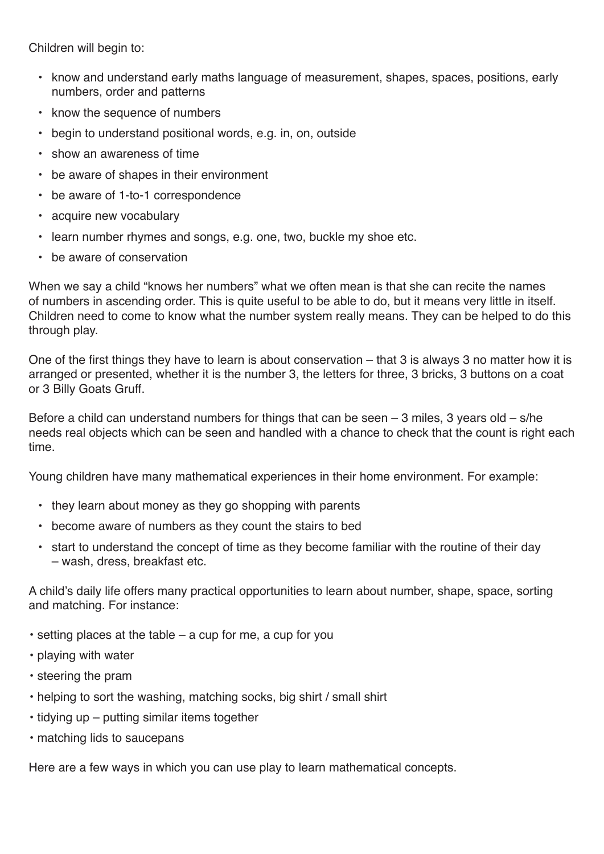Children will begin to:

- know and understand early maths language of measurement, shapes, spaces, positions, early numbers, order and patterns
- know the sequence of numbers
- begin to understand positional words, e.g. in, on, outside
- show an awareness of time
- be aware of shapes in their environment
- be aware of 1-to-1 correspondence
- acquire new vocabulary
- learn number rhymes and songs, e.g. one, two, buckle my shoe etc.
- be aware of conservation

When we say a child "knows her numbers" what we often mean is that she can recite the names of numbers in ascending order. This is quite useful to be able to do, but it means very little in itself. Children need to come to know what the number system really means. They can be helped to do this through play.

One of the first things they have to learn is about conservation  $-$  that 3 is always 3 no matter how it is arranged or presented, whether it is the number 3, the letters for three, 3 bricks, 3 buttons on a coat or 3 Billy Goats Gruff.

Before a child can understand numbers for things that can be seen  $-$  3 miles, 3 years old  $-$  s/he needs real objects which can be seen and handled with a chance to check that the count is right each time.

Young children have many mathematical experiences in their home environment. For example:

- they learn about money as they go shopping with parents
- become aware of numbers as they count the stairs to bed
- start to understand the concept of time as they become familiar with the routine of their day – wash, dress, breakfast etc.

A child's daily life offers many practical opportunities to learn about number, shape, space, sorting and matching. For instance:

- setting places at the table a cup for me, a cup for you
- playing with water
- steering the pram
- helping to sort the washing, matching socks, big shirt / small shirt
- tidying up putting similar items together
- matching lids to saucepans

Here are a few ways in which you can use play to learn mathematical concepts.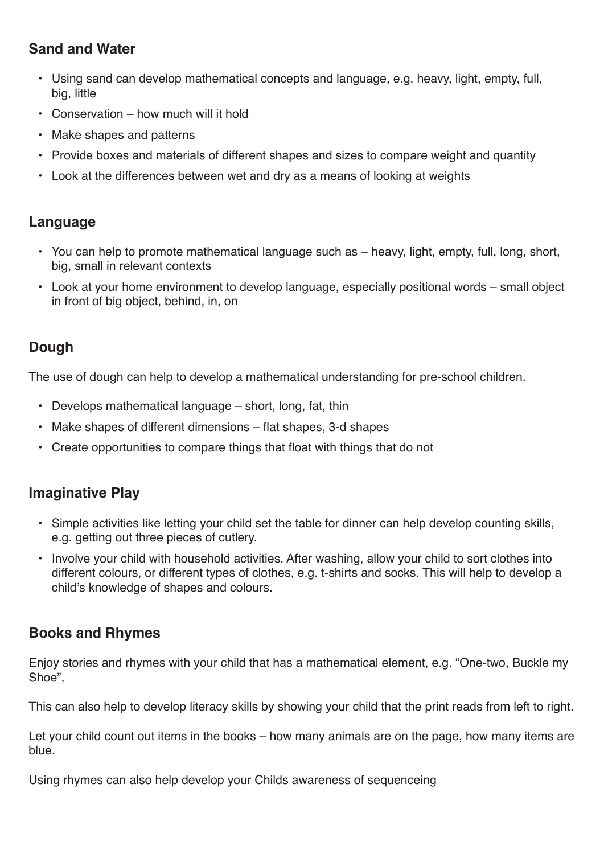# **Sand and Water**

- Using sand can develop mathematical concepts and language, e.g. heavy, light, empty, full, big, little
- Conservation how much will it hold
- Make shapes and patterns
- Provide boxes and materials of different shapes and sizes to compare weight and quantity
- Look at the differences between wet and dry as a means of looking at weights

# **Language**

- You can help to promote mathematical language such as heavy, light, empty, full, long, short, big, small in relevant contexts
- Look at your home environment to develop language, especially positional words small object in front of big object, behind, in, on

# **Dough**

The use of dough can help to develop a mathematical understanding for pre-school children.

- Develops mathematical language short, long, fat, thin
- Make shapes of different dimensions flat shapes, 3-d shapes
- Create opportunities to compare things that float with things that do not

# **Imaginative Play**

- Simple activities like letting your child set the table for dinner can help develop counting skills, e.g. getting out three pieces of cutlery.
- Involve your child with household activities. After washing, allow your child to sort clothes into different colours, or different types of clothes, e.g. t-shirts and socks. This will help to develop a child's knowledge of shapes and colours.

# **Books and Rhymes**

Enjoy stories and rhymes with your child that has a mathematical element, e.g. "One-two, Buckle my Shoe",

This can also help to develop literacy skills by showing your child that the print reads from left to right.

Let your child count out items in the books – how many animals are on the page, how many items are blue.

Using rhymes can also help develop your Childs awareness of sequenceing